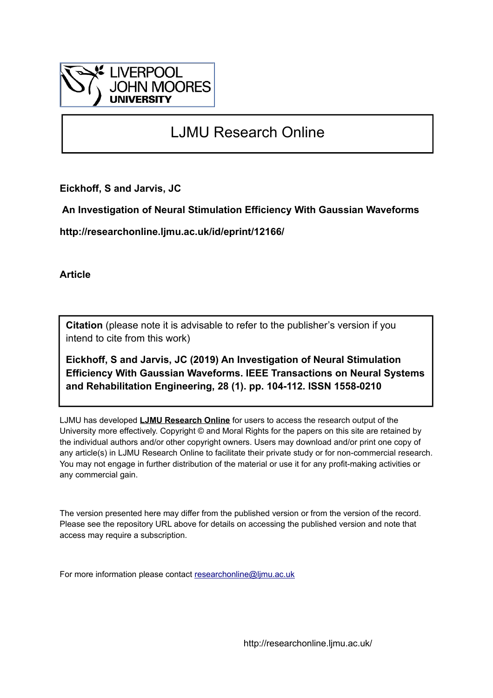

# LJMU Research Online

**Eickhoff, S and Jarvis, JC**

 **An Investigation of Neural Stimulation Efficiency With Gaussian Waveforms**

**http://researchonline.ljmu.ac.uk/id/eprint/12166/**

**Article**

**Citation** (please note it is advisable to refer to the publisher's version if you intend to cite from this work)

**Eickhoff, S and Jarvis, JC (2019) An Investigation of Neural Stimulation Efficiency With Gaussian Waveforms. IEEE Transactions on Neural Systems and Rehabilitation Engineering, 28 (1). pp. 104-112. ISSN 1558-0210** 

LJMU has developed **[LJMU Research Online](http://researchonline.ljmu.ac.uk/)** for users to access the research output of the University more effectively. Copyright © and Moral Rights for the papers on this site are retained by the individual authors and/or other copyright owners. Users may download and/or print one copy of any article(s) in LJMU Research Online to facilitate their private study or for non-commercial research. You may not engage in further distribution of the material or use it for any profit-making activities or any commercial gain.

The version presented here may differ from the published version or from the version of the record. Please see the repository URL above for details on accessing the published version and note that access may require a subscription.

For more information please contact [researchonline@ljmu.ac.uk](mailto:researchonline@ljmu.ac.uk)

http://researchonline.ljmu.ac.uk/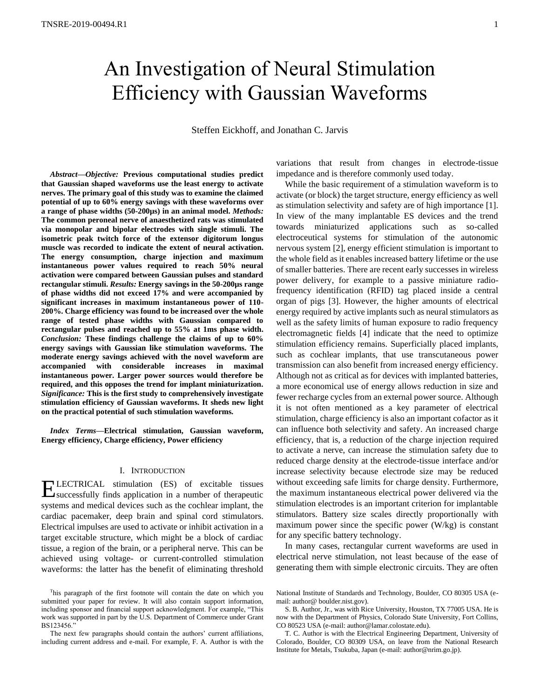# An Investigation of Neural Stimulation Efficiency with Gaussian Waveforms

Steffen Eickhoff, and Jonathan C. Jarvis

*Abstract***—***Objective:* **Previous computational studies predict that Gaussian shaped waveforms use the least energy to activate nerves. The primary goal of this study was to examine the claimed potential of up to 60% energy savings with these waveforms over a range of phase widths (50-200µs) in an animal model.** *Methods:* **The common peroneal nerve of anaesthetized rats was stimulated via monopolar and bipolar electrodes with single stimuli. The isometric peak twitch force of the extensor digitorum longus muscle was recorded to indicate the extent of neural activation. The energy consumption, charge injection and maximum instantaneous power values required to reach 50% neural activation were compared between Gaussian pulses and standard rectangular stimuli.** *Results:* **Energy savings in the 50-200µs range of phase widths did not exceed 17% and were accompanied by significant increases in maximum instantaneous power of 110- 200%. Charge efficiency was found to be increased over the whole range of tested phase widths with Gaussian compared to rectangular pulses and reached up to 55% at 1ms phase width.**  *Conclusion:* **These findings challenge the claims of up to 60% energy savings with Gaussian like stimulation waveforms. The moderate energy savings achieved with the novel waveform are accompanied with considerable increases in maximal instantaneous power. Larger power sources would therefore be required, and this opposes the trend for implant miniaturization.**  *Significance:* **This is the first study to comprehensively investigate stimulation efficiency of Gaussian waveforms. It sheds new light on the practical potential of such stimulation waveforms.**

*Index Terms***—Electrical stimulation, Gaussian waveform, Energy efficiency, Charge efficiency, Power efficiency**

# I. INTRODUCTION

LECTRICAL stimulation (ES) of excitable tissues ELECTRICAL stimulation (ES) of excitable tissues<br>
Successfully finds application in a number of therapeutic systems and medical devices such as the cochlear implant, the cardiac pacemaker, deep brain and spinal cord stimulators. Electrical impulses are used to activate or inhibit activation in a target excitable structure, which might be a block of cardiac tissue, a region of the brain, or a peripheral nerve. This can be achieved using voltage- or current-controlled stimulation waveforms: the latter has the benefit of eliminating threshold

The next few paragraphs should contain the authors' current affiliations, including current address and e-mail. For example, F. A. Author is with the

variations that result from changes in electrode-tissue impedance and is therefore commonly used today.

While the basic requirement of a stimulation waveform is to activate (or block) the target structure, energy efficiency as well as stimulation selectivity and safety are of high importance [1]. In view of the many implantable ES devices and the trend towards miniaturized applications such as so-called electroceutical systems for stimulation of the autonomic nervous system [2], energy efficient stimulation is important to the whole field as it enables increased battery lifetime or the use of smaller batteries. There are recent early successes in wireless power delivery, for example to a passive miniature radiofrequency identification (RFID) tag placed inside a central organ of pigs [3]. However, the higher amounts of electrical energy required by active implants such as neural stimulators as well as the safety limits of human exposure to radio frequency electromagnetic fields [4] indicate that the need to optimize stimulation efficiency remains. Superficially placed implants, such as cochlear implants, that use transcutaneous power transmission can also benefit from increased energy efficiency. Although not as critical as for devices with implanted batteries, a more economical use of energy allows reduction in size and fewer recharge cycles from an external power source. Although it is not often mentioned as a key parameter of electrical stimulation, charge efficiency is also an important cofactor as it can influence both selectivity and safety. An increased charge efficiency, that is, a reduction of the charge injection required to activate a nerve, can increase the stimulation safety due to reduced charge density at the electrode-tissue interface and/or increase selectivity because electrode size may be reduced without exceeding safe limits for charge density. Furthermore, the maximum instantaneous electrical power delivered via the stimulation electrodes is an important criterion for implantable stimulators. Battery size scales directly proportionally with maximum power since the specific power (W/kg) is constant for any specific battery technology.

In many cases, rectangular current waveforms are used in electrical nerve stimulation, not least because of the ease of generating them with simple electronic circuits. They are often

<sup>T</sup>his paragraph of the first footnote will contain the date on which you submitted your paper for review. It will also contain support information, including sponsor and financial support acknowledgment. For example, "This work was supported in part by the U.S. Department of Commerce under Grant BS123456."

National Institute of Standards and Technology, Boulder, CO 80305 USA (email: author@ boulder.nist.gov).

S. B. Author, Jr., was with Rice University, Houston, TX 77005 USA. He is now with the Department of Physics, Colorado State University, Fort Collins, CO 80523 USA (e-mail: author@lamar.colostate.edu).

T. C. Author is with the Electrical Engineering Department, University of Colorado, Boulder, CO 80309 USA, on leave from the National Research Institute for Metals, Tsukuba, Japan (e-mail: author@nrim.go.jp).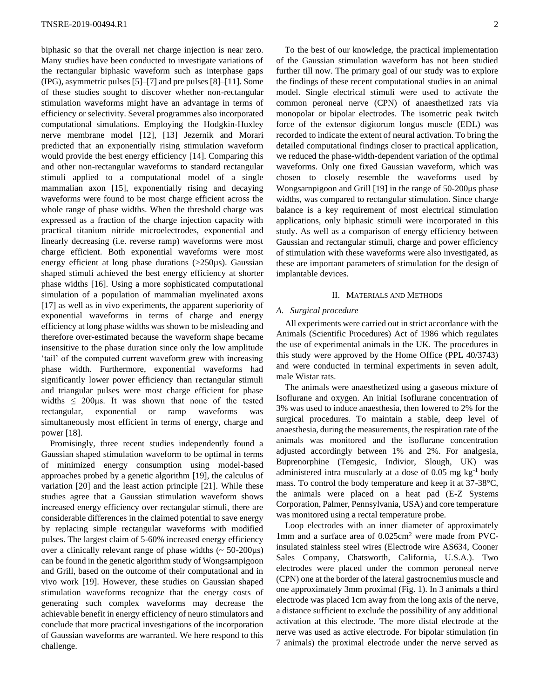biphasic so that the overall net charge injection is near zero. Many studies have been conducted to investigate variations of the rectangular biphasic waveform such as interphase gaps (IPG), asymmetric pulses [5]–[7] and pre pulses [8]–[11]. Some of these studies sought to discover whether non-rectangular stimulation waveforms might have an advantage in terms of efficiency or selectivity. Several programmes also incorporated computational simulations. Employing the Hodgkin-Huxley nerve membrane model [12], [13] Jezernik and Morari predicted that an exponentially rising stimulation waveform would provide the best energy efficiency [14]. Comparing this and other non-rectangular waveforms to standard rectangular stimuli applied to a computational model of a single mammalian axon [15], exponentially rising and decaying waveforms were found to be most charge efficient across the whole range of phase widths. When the threshold charge was expressed as a fraction of the charge injection capacity with practical titanium nitride microelectrodes, exponential and linearly decreasing (i.e. reverse ramp) waveforms were most charge efficient. Both exponential waveforms were most energy efficient at long phase durations (>250µs). Gaussian shaped stimuli achieved the best energy efficiency at shorter phase widths [16]. Using a more sophisticated computational simulation of a population of mammalian myelinated axons [17] as well as in vivo experiments, the apparent superiority of exponential waveforms in terms of charge and energy efficiency at long phase widths was shown to be misleading and therefore over-estimated because the waveform shape became insensitive to the phase duration since only the low amplitude 'tail' of the computed current waveform grew with increasing phase width. Furthermore, exponential waveforms had significantly lower power efficiency than rectangular stimuli and triangular pulses were most charge efficient for phase widths  $\leq$  200 $\mu$ s. It was shown that none of the tested rectangular, exponential or ramp waveforms was simultaneously most efficient in terms of energy, charge and power [18].

Promisingly, three recent studies independently found a Gaussian shaped stimulation waveform to be optimal in terms of minimized energy consumption using model-based approaches probed by a genetic algorithm [19], the calculus of variation [20] and the least action principle [21]. While these studies agree that a Gaussian stimulation waveform shows increased energy efficiency over rectangular stimuli, there are considerable differences in the claimed potential to save energy by replacing simple rectangular waveforms with modified pulses. The largest claim of 5-60% increased energy efficiency over a clinically relevant range of phase widths  $\sim 50{\text -}200\mu s$ ) can be found in the genetic algorithm study of Wongsarnpigoon and Grill, based on the outcome of their computational and in vivo work [19]. However, these studies on Gaussian shaped stimulation waveforms recognize that the energy costs of generating such complex waveforms may decrease the achievable benefit in energy efficiency of neuro stimulators and conclude that more practical investigations of the incorporation of Gaussian waveforms are warranted. We here respond to this challenge.

To the best of our knowledge, the practical implementation of the Gaussian stimulation waveform has not been studied further till now. The primary goal of our study was to explore the findings of these recent computational studies in an animal model. Single electrical stimuli were used to activate the common peroneal nerve (CPN) of anaesthetized rats via monopolar or bipolar electrodes. The isometric peak twitch force of the extensor digitorum longus muscle (EDL) was recorded to indicate the extent of neural activation. To bring the detailed computational findings closer to practical application, we reduced the phase-width-dependent variation of the optimal waveforms. Only one fixed Gaussian waveform, which was chosen to closely resemble the waveforms used by Wongsarnpigoon and Grill [19] in the range of 50-200µs phase widths, was compared to rectangular stimulation. Since charge balance is a key requirement of most electrical stimulation applications, only biphasic stimuli were incorporated in this study. As well as a comparison of energy efficiency between Gaussian and rectangular stimuli, charge and power efficiency of stimulation with these waveforms were also investigated, as these are important parameters of stimulation for the design of implantable devices.

# II. MATERIALS AND METHODS

#### *A. Surgical procedure*

All experiments were carried out in strict accordance with the Animals (Scientific Procedures) Act of 1986 which regulates the use of experimental animals in the UK. The procedures in this study were approved by the Home Office (PPL 40/3743) and were conducted in terminal experiments in seven adult, male Wistar rats.

The animals were anaesthetized using a gaseous mixture of Isoflurane and oxygen. An initial Isoflurane concentration of 3% was used to induce anaesthesia, then lowered to 2% for the surgical procedures. To maintain a stable, deep level of anaesthesia, during the measurements, the respiration rate of the animals was monitored and the isoflurane concentration adjusted accordingly between 1% and 2%. For analgesia, Buprenorphine (Temgesic, Indivior, Slough, UK) was administered intra muscularly at a dose of 0.05 mg kg-1 body mass. To control the body temperature and keep it at 37-38°C, the animals were placed on a heat pad (E-Z Systems Corporation, Palmer, Pennsylvania, USA) and core temperature was monitored using a rectal temperature probe.

Loop electrodes with an inner diameter of approximately 1mm and a surface area of  $0.025$ cm<sup>2</sup> were made from PVCinsulated stainless steel wires (Electrode wire AS634, Cooner Sales Company, Chatsworth, California, U.S.A.). Two electrodes were placed under the common peroneal nerve (CPN) one at the border of the lateral gastrocnemius muscle and one approximately 3mm proximal (Fig. 1). In 3 animals a third electrode was placed 1cm away from the long axis of the nerve, a distance sufficient to exclude the possibility of any additional activation at this electrode. The more distal electrode at the nerve was used as active electrode. For bipolar stimulation (in 7 animals) the proximal electrode under the nerve served as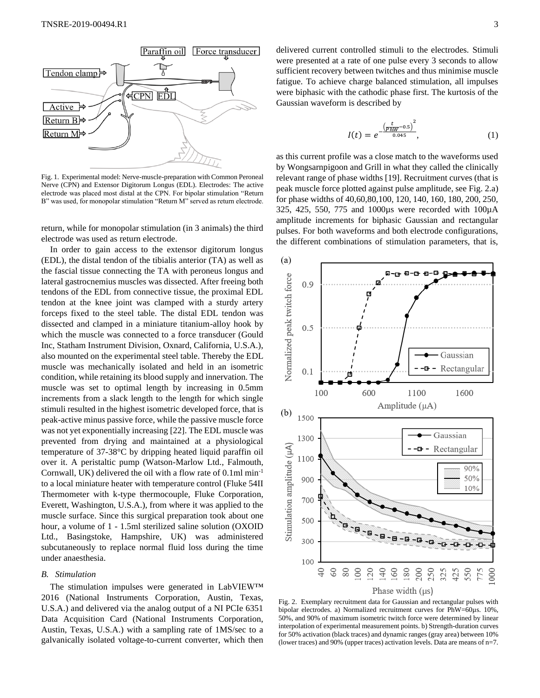

Fig. 1. Experimental model: Nerve-muscle-preparation with Common Peroneal Nerve (CPN) and Extensor Digitorum Longus (EDL). Electrodes: The active electrode was placed most distal at the CPN. For bipolar stimulation "Return B" was used, for monopolar stimulation "Return M" served as return electrode.

return, while for monopolar stimulation (in 3 animals) the third electrode was used as return electrode.

In order to gain access to the extensor digitorum longus (EDL), the distal tendon of the tibialis anterior (TA) as well as the fascial tissue connecting the TA with peroneus longus and lateral gastrocnemius muscles was dissected. After freeing both tendons of the EDL from connective tissue, the proximal EDL tendon at the knee joint was clamped with a sturdy artery forceps fixed to the steel table. The distal EDL tendon was dissected and clamped in a miniature titanium-alloy hook by which the muscle was connected to a force transducer (Gould Inc, Statham Instrument Division, Oxnard, California, U.S.A.), also mounted on the experimental steel table. Thereby the EDL muscle was mechanically isolated and held in an isometric condition, while retaining its blood supply and innervation. The muscle was set to optimal length by increasing in 0.5mm increments from a slack length to the length for which single stimuli resulted in the highest isometric developed force, that is peak-active minus passive force, while the passive muscle force was not yet exponentially increasing [22]. The EDL muscle was prevented from drying and maintained at a physiological temperature of 37-38°C by dripping heated liquid paraffin oil over it. A peristaltic pump (Watson-Marlow Ltd., Falmouth, Cornwall, UK) delivered the oil with a flow rate of 0.1ml min-1 to a local miniature heater with temperature control (Fluke 54II Thermometer with k-type thermocouple, Fluke Corporation, Everett, Washington, U.S.A.), from where it was applied to the muscle surface. Since this surgical preparation took about one hour, a volume of 1 - 1.5ml sterilized saline solution (OXOID Ltd., Basingstoke, Hampshire, UK) was administered subcutaneously to replace normal fluid loss during the time under anaesthesia.

#### *B. Stimulation*

The stimulation impulses were generated in LabVIEW™ 2016 (National Instruments Corporation, Austin, Texas, U.S.A.) and delivered via the analog output of a NI PCIe 6351 Data Acquisition Card (National Instruments Corporation, Austin, Texas, U.S.A.) with a sampling rate of 1MS/sec to a galvanically isolated voltage-to-current converter, which then delivered current controlled stimuli to the electrodes. Stimuli were presented at a rate of one pulse every 3 seconds to allow sufficient recovery between twitches and thus minimise muscle fatigue. To achieve charge balanced stimulation, all impulses were biphasic with the cathodic phase first. The kurtosis of the Gaussian waveform is described by

$$
I(t) = e^{-\frac{\left(\frac{t}{PMW} - 0.5\right)^2}{0.045}},\tag{1}
$$

as this current profile was a close match to the waveforms used by Wongsarnpigoon and Grill in what they called the clinically relevant range of phase widths [19]. Recruitment curves (that is peak muscle force plotted against pulse amplitude, see Fig. 2.a) for phase widths of 40,60,80,100, 120, 140, 160, 180, 200, 250, 325, 425, 550, 775 and 1000µs were recorded with 100µA amplitude increments for biphasic Gaussian and rectangular pulses. For both waveforms and both electrode configurations, the different combinations of stimulation parameters, that is,



Fig. 2. Exemplary recruitment data for Gaussian and rectangular pulses with bipolar electrodes. a) Normalized recruitment curves for PhW=60µs. 10%, 50%, and 90% of maximum isometric twitch force were determined by linear interpolation of experimental measurement points. b) Strength-duration curves for 50% activation (black traces) and dynamic ranges (gray area) between 10% (lower traces) and 90% (upper traces) activation levels. Data are means of n=7.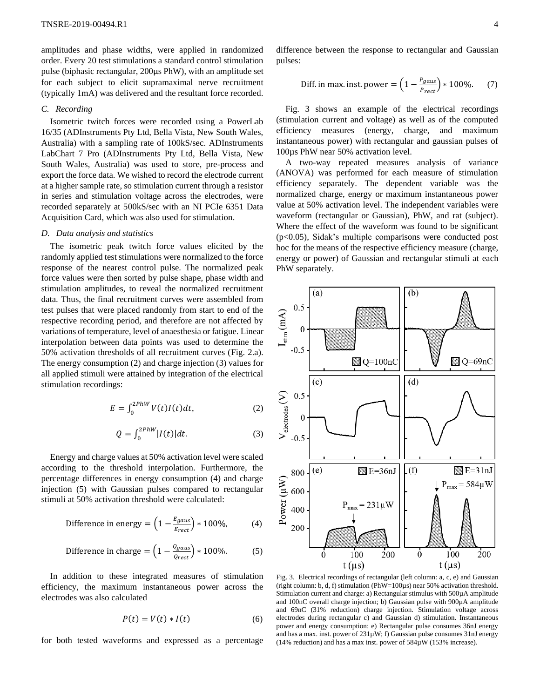amplitudes and phase widths, were applied in randomized order. Every 20 test stimulations a standard control stimulation pulse (biphasic rectangular, 200µs PhW), with an amplitude set for each subject to elicit supramaximal nerve recruitment (typically 1mA) was delivered and the resultant force recorded.

### *C. Recording*

Isometric twitch forces were recorded using a PowerLab 16/35 (ADInstruments Pty Ltd, Bella Vista, New South Wales, Australia) with a sampling rate of 100kS/sec. ADInstruments LabChart 7 Pro (ADInstruments Pty Ltd, Bella Vista, New South Wales, Australia) was used to store, pre-process and export the force data. We wished to record the electrode current at a higher sample rate, so stimulation current through a resistor in series and stimulation voltage across the electrodes, were recorded separately at 500kS/sec with an NI PCIe 6351 Data Acquisition Card, which was also used for stimulation.

#### *D. Data analysis and statistics*

The isometric peak twitch force values elicited by the randomly applied test stimulations were normalized to the force response of the nearest control pulse. The normalized peak force values were then sorted by pulse shape, phase width and stimulation amplitudes, to reveal the normalized recruitment data. Thus, the final recruitment curves were assembled from test pulses that were placed randomly from start to end of the respective recording period, and therefore are not affected by variations of temperature, level of anaesthesia or fatigue. Linear interpolation between data points was used to determine the 50% activation thresholds of all recruitment curves (Fig. 2.a). The energy consumption (2) and charge injection (3) values for all applied stimuli were attained by integration of the electrical stimulation recordings:

$$
E = \int_0^{2PhW} V(t)I(t)dt,\tag{2}
$$

$$
Q = \int_0^{2PhW} |I(t)| dt.
$$
 (3)

Energy and charge values at 50% activation level were scaled according to the threshold interpolation. Furthermore, the percentage differences in energy consumption (4) and charge injection (5) with Gaussian pulses compared to rectangular stimuli at 50% activation threshold were calculated:

Difference in energy = 
$$
\left(1 - \frac{E_{gaus}}{E_{rect}}\right) * 100\%,
$$
 (4)

Difference in charge = 
$$
\left(1 - \frac{Qgaus}{Q_{rect}}\right) * 100\%
$$
. (5)

In addition to these integrated measures of stimulation efficiency, the maximum instantaneous power across the electrodes was also calculated

$$
P(t) = V(t) * I(t)
$$
 (6)

for both tested waveforms and expressed as a percentage

difference between the response to rectangular and Gaussian pulses:

Diff. in max. inst. power = 
$$
\left(1 - \frac{P_{gaus}}{P_{rect}}\right) * 100\%
$$
. (7)

Fig. 3 shows an example of the electrical recordings (stimulation current and voltage) as well as of the computed efficiency measures (energy, charge, and maximum instantaneous power) with rectangular and gaussian pulses of 100µs PhW near 50% activation level.

A two-way repeated measures analysis of variance (ANOVA) was performed for each measure of stimulation efficiency separately. The dependent variable was the normalized charge, energy or maximum instantaneous power value at 50% activation level. The independent variables were waveform (rectangular or Gaussian), PhW, and rat (subject). Where the effect of the waveform was found to be significant (p<0.05), Sidak's multiple comparisons were conducted post hoc for the means of the respective efficiency measure (charge, energy or power) of Gaussian and rectangular stimuli at each PhW separately.



Fig. 3. Electrical recordings of rectangular (left column: a, c, e) and Gaussian (right column: b, d, f) stimulation (PhW=100µs) near 50% activation threshold. Stimulation current and charge: a) Rectangular stimulus with 500µA amplitude and 100nC overall charge injection; b) Gaussian pulse with 900µA amplitude and 69nC (31% reduction) charge injection. Stimulation voltage across electrodes during rectangular c) and Gaussian d) stimulation. Instantaneous power and energy consumption: e) Rectangular pulse consumes 36nJ energy and has a max. inst. power of 231µW; f) Gaussian pulse consumes 31nJ energy (14% reduction) and has a max inst. power of 584µW (153% increase).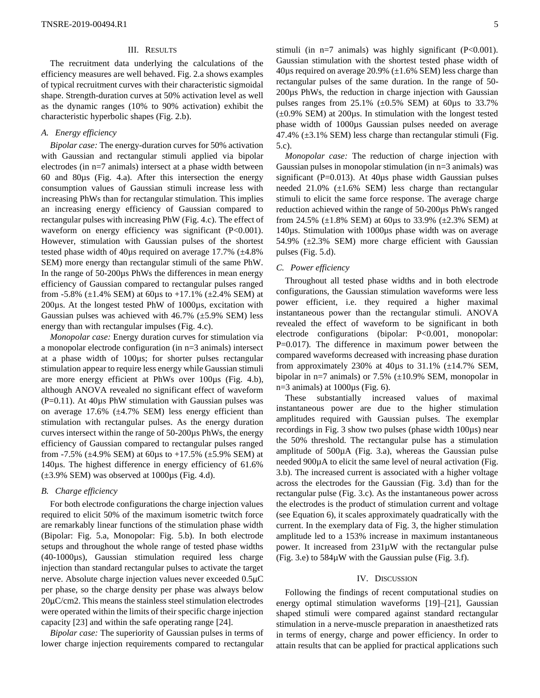# III. RESULTS

The recruitment data underlying the calculations of the efficiency measures are well behaved. Fig. 2.a shows examples of typical recruitment curves with their characteristic sigmoidal shape. Strength-duration curves at 50% activation level as well as the dynamic ranges (10% to 90% activation) exhibit the characteristic hyperbolic shapes (Fig. 2.b).

# *A. Energy efficiency*

*Bipolar case:* The energy-duration curves for 50% activation with Gaussian and rectangular stimuli applied via bipolar electrodes (in n=7 animals) intersect at a phase width between 60 and 80µs (Fig. 4.a). After this intersection the energy consumption values of Gaussian stimuli increase less with increasing PhWs than for rectangular stimulation. This implies an increasing energy efficiency of Gaussian compared to rectangular pulses with increasing PhW (Fig. 4.c). The effect of waveform on energy efficiency was significant (P<0.001). However, stimulation with Gaussian pulses of the shortest tested phase width of 40µs required on average 17.7% (±4.8% SEM) more energy than rectangular stimuli of the same PhW. In the range of 50-200µs PhWs the differences in mean energy efficiency of Gaussian compared to rectangular pulses ranged from -5.8%  $(\pm 1.4\%$  SEM) at 60µs to +17.1%  $(\pm 2.4\%$  SEM) at 200µs. At the longest tested PhW of 1000µs, excitation with Gaussian pulses was achieved with  $46.7\%$  ( $\pm$ 5.9% SEM) less energy than with rectangular impulses (Fig. 4.c).

*Monopolar case:* Energy duration curves for stimulation via a monopolar electrode configuration (in n=3 animals) intersect at a phase width of 100µs; for shorter pulses rectangular stimulation appear to require less energy while Gaussian stimuli are more energy efficient at PhWs over 100µs (Fig. 4.b), although ANOVA revealed no significant effect of waveform (P=0.11). At 40µs PhW stimulation with Gaussian pulses was on average  $17.6\%$  ( $\pm 4.7\%$  SEM) less energy efficient than stimulation with rectangular pulses. As the energy duration curves intersect within the range of 50-200µs PhWs, the energy efficiency of Gaussian compared to rectangular pulses ranged from -7.5% ( $\pm$ 4.9% SEM) at 60us to +17.5% ( $\pm$ 5.9% SEM) at 140µs. The highest difference in energy efficiency of 61.6%  $(\pm 3.9\%$  SEM) was observed at 1000 $\mu$ s (Fig. 4.d).

# *B. Charge efficiency*

For both electrode configurations the charge injection values required to elicit 50% of the maximum isometric twitch force are remarkably linear functions of the stimulation phase width (Bipolar: Fig. 5.a, Monopolar: Fig. 5.b). In both electrode setups and throughout the whole range of tested phase widths (40-1000µs), Gaussian stimulation required less charge injection than standard rectangular pulses to activate the target nerve. Absolute charge injection values never exceeded 0.5µC per phase, so the charge density per phase was always below 20µC/cm2. This means the stainless steel stimulation electrodes were operated within the limits of their specific charge injection capacity [23] and within the safe operating range [24].

*Bipolar case:* The superiority of Gaussian pulses in terms of lower charge injection requirements compared to rectangular

stimuli (in n=7 animals) was highly significant (P<0.001). Gaussian stimulation with the shortest tested phase width of 40 $\mu$ s required on average 20.9% ( $\pm$ 1.6% SEM) less charge than rectangular pulses of the same duration. In the range of 50- 200µs PhWs, the reduction in charge injection with Gaussian pulses ranges from  $25.1\%$  ( $\pm 0.5\%$  SEM) at 60 $\mu$ s to 33.7%  $(\pm 0.9\%$  SEM) at 200 $\mu$ s. In stimulation with the longest tested phase width of 1000µs Gaussian pulses needed on average 47.4%  $(\pm 3.1\%$  SEM) less charge than rectangular stimuli (Fig. 5.c).

*Monopolar case:* The reduction of charge injection with Gaussian pulses in monopolar stimulation (in n=3 animals) was significant (P= $0.013$ ). At 40 $\mu$ s phase width Gaussian pulses needed 21.0% (±1.6% SEM) less charge than rectangular stimuli to elicit the same force response. The average charge reduction achieved within the range of 50-200µs PhWs ranged from 24.5% ( $\pm 1.8$ % SEM) at 60 $\mu$ s to 33.9% ( $\pm 2.3$ % SEM) at 140µs. Stimulation with 1000µs phase width was on average 54.9% (±2.3% SEM) more charge efficient with Gaussian pulses (Fig. 5.d).

# *C. Power efficiency*

Throughout all tested phase widths and in both electrode configurations, the Gaussian stimulation waveforms were less power efficient, i.e. they required a higher maximal instantaneous power than the rectangular stimuli. ANOVA revealed the effect of waveform to be significant in both electrode configurations (bipolar: P<0.001, monopolar: P=0.017). The difference in maximum power between the compared waveforms decreased with increasing phase duration from approximately 230% at 40 $\mu$ s to 31.1% ( $\pm$ 14.7% SEM, bipolar in n=7 animals) or  $7.5\%$  ( $\pm 10.9\%$  SEM, monopolar in n=3 animals) at  $1000\mu s$  (Fig. 6).

These substantially increased values of maximal instantaneous power are due to the higher stimulation amplitudes required with Gaussian pulses. The exemplar recordings in Fig. 3 show two pulses (phase width 100µs) near the 50% threshold. The rectangular pulse has a stimulation amplitude of 500µA (Fig. 3.a), whereas the Gaussian pulse needed 900µA to elicit the same level of neural activation (Fig. 3.b). The increased current is associated with a higher voltage across the electrodes for the Gaussian (Fig. 3.d) than for the rectangular pulse (Fig. 3.c). As the instantaneous power across the electrodes is the product of stimulation current and voltage (see Equation 6), it scales approximately quadratically with the current. In the exemplary data of Fig. 3, the higher stimulation amplitude led to a 153% increase in maximum instantaneous power. It increased from 231µW with the rectangular pulse (Fig. 3.e) to 584µW with the Gaussian pulse (Fig. 3.f).

#### IV. DISCUSSION

Following the findings of recent computational studies on energy optimal stimulation waveforms [19]–[21], Gaussian shaped stimuli were compared against standard rectangular stimulation in a nerve-muscle preparation in anaesthetized rats in terms of energy, charge and power efficiency. In order to attain results that can be applied for practical applications such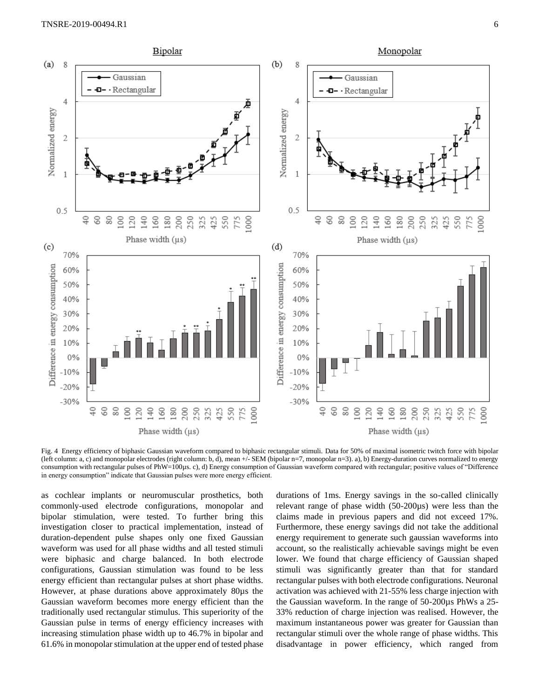

Fig. 4 Energy efficiency of biphasic Gaussian waveform compared to biphasic rectangular stimuli. Data for 50% of maximal isometric twitch force with bipolar (left column: a, c) and monopolar electrodes (right column: b, d), mean +/- SEM (bipolar n=7, monopolar n=3). a), b) Energy-duration curves normalized to energy consumption with rectangular pulses of PhW=100µs. c), d) Energy consumption of Gaussian waveform compared with rectangular; positive values of "Difference in energy consumption" indicate that Gaussian pulses were more energy efficient.

as cochlear implants or neuromuscular prosthetics, both commonly-used electrode configurations, monopolar and bipolar stimulation, were tested. To further bring this investigation closer to practical implementation, instead of duration-dependent pulse shapes only one fixed Gaussian waveform was used for all phase widths and all tested stimuli were biphasic and charge balanced. In both electrode configurations, Gaussian stimulation was found to be less energy efficient than rectangular pulses at short phase widths. However, at phase durations above approximately 80µs the Gaussian waveform becomes more energy efficient than the traditionally used rectangular stimulus. This superiority of the Gaussian pulse in terms of energy efficiency increases with increasing stimulation phase width up to 46.7% in bipolar and 61.6% in monopolar stimulation at the upper end of tested phase

durations of 1ms. Energy savings in the so-called clinically relevant range of phase width (50-200µs) were less than the claims made in previous papers and did not exceed 17%. Furthermore, these energy savings did not take the additional energy requirement to generate such gaussian waveforms into account, so the realistically achievable savings might be even lower. We found that charge efficiency of Gaussian shaped stimuli was significantly greater than that for standard rectangular pulses with both electrode configurations. Neuronal activation was achieved with 21-55% less charge injection with the Gaussian waveform. In the range of 50-200µs PhWs a 25- 33% reduction of charge injection was realised. However, the maximum instantaneous power was greater for Gaussian than rectangular stimuli over the whole range of phase widths. This disadvantage in power efficiency, which ranged from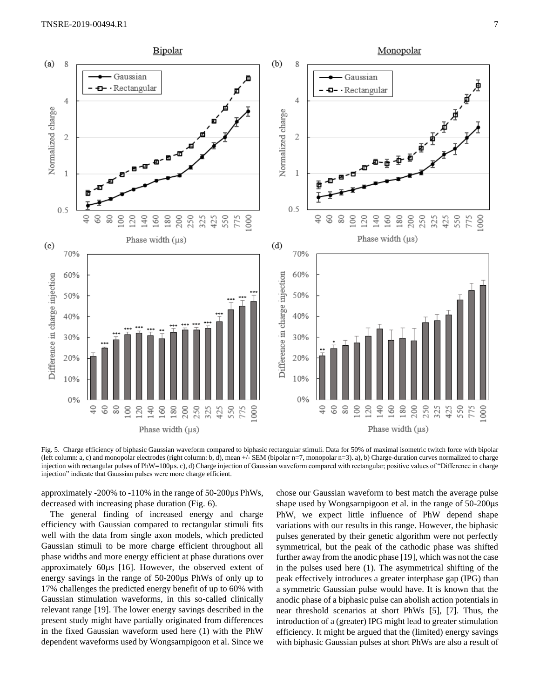

Fig. 5. Charge efficiency of biphasic Gaussian waveform compared to biphasic rectangular stimuli. Data for 50% of maximal isometric twitch force with bipolar (left column: a, c) and monopolar electrodes (right column: b, d), mean +/- SEM (bipolar n=7, monopolar n=3). a), b) Charge-duration curves normalized to charge injection with rectangular pulses of PhW=100µs. c), d) Charge injection of Gaussian waveform compared with rectangular; positive values of "Difference in charge injection" indicate that Gaussian pulses were more charge efficient.

approximately -200% to -110% in the range of 50-200µs PhWs, decreased with increasing phase duration (Fig. 6).

The general finding of increased energy and charge efficiency with Gaussian compared to rectangular stimuli fits well with the data from single axon models, which predicted Gaussian stimuli to be more charge efficient throughout all phase widths and more energy efficient at phase durations over approximately 60µs [16]. However, the observed extent of energy savings in the range of 50-200µs PhWs of only up to 17% challenges the predicted energy benefit of up to 60% with Gaussian stimulation waveforms, in this so-called clinically relevant range [19]. The lower energy savings described in the present study might have partially originated from differences in the fixed Gaussian waveform used here (1) with the PhW dependent waveforms used by Wongsarnpigoon et al. Since we

chose our Gaussian waveform to best match the average pulse shape used by Wongsarnpigoon et al. in the range of 50-200 $\mu$ s PhW, we expect little influence of PhW depend shape variations with our results in this range. However, the biphasic pulses generated by their genetic algorithm were not perfectly symmetrical, but the peak of the cathodic phase was shifted further away from the anodic phase [19], which was not the case in the pulses used here (1). The asymmetrical shifting of the peak effectively introduces a greater interphase gap (IPG) than a symmetric Gaussian pulse would have. It is known that the anodic phase of a biphasic pulse can abolish action potentials in near threshold scenarios at short PhWs [5], [7]. Thus, the introduction of a (greater) IPG might lead to greater stimulation efficiency. It might be argued that the (limited) energy savings with biphasic Gaussian pulses at short PhWs are also a result of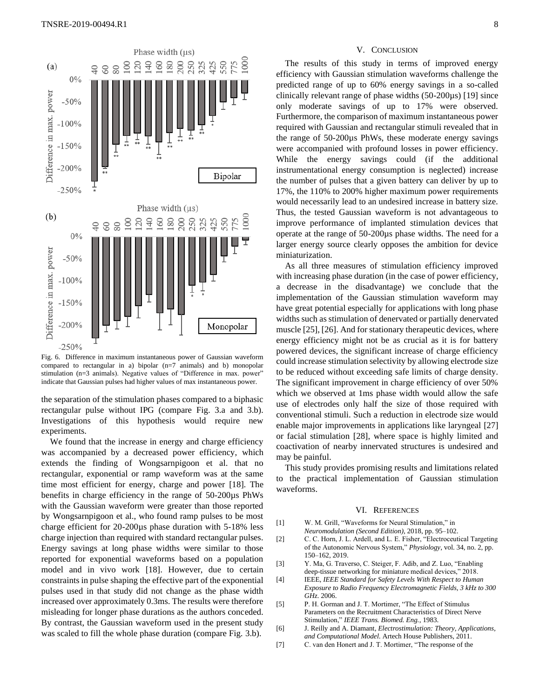

Fig. 6. Difference in maximum instantaneous power of Gaussian waveform compared to rectangular in a) bipolar  $(n=7 \text{ animals})$  and b) monopolar stimulation (n=3 animals). Negative values of "Difference in max. power" indicate that Gaussian pulses had higher values of max instantaneous power.

the separation of the stimulation phases compared to a biphasic rectangular pulse without IPG (compare Fig. 3.a and 3.b). Investigations of this hypothesis would require new experiments.

We found that the increase in energy and charge efficiency was accompanied by a decreased power efficiency, which extends the finding of Wongsarnpigoon et al. that no rectangular, exponential or ramp waveform was at the same time most efficient for energy, charge and power [18]. The benefits in charge efficiency in the range of 50-200µs PhWs with the Gaussian waveform were greater than those reported by Wongsarnpigoon et al., who found ramp pulses to be most charge efficient for 20-200µs phase duration with 5-18% less charge injection than required with standard rectangular pulses. Energy savings at long phase widths were similar to those reported for exponential waveforms based on a population model and in vivo work [18]. However, due to certain constraints in pulse shaping the effective part of the exponential pulses used in that study did not change as the phase width increased over approximately 0.3ms. The results were therefore misleading for longer phase durations as the authors conceded. By contrast, the Gaussian waveform used in the present study was scaled to fill the whole phase duration (compare Fig. 3.b).

# V. CONCLUSION

The results of this study in terms of improved energy efficiency with Gaussian stimulation waveforms challenge the predicted range of up to 60% energy savings in a so-called clinically relevant range of phase widths (50-200µs) [19] since only moderate savings of up to 17% were observed. Furthermore, the comparison of maximum instantaneous power required with Gaussian and rectangular stimuli revealed that in the range of 50-200µs PhWs, these moderate energy savings were accompanied with profound losses in power efficiency. While the energy savings could (if the additional instrumentational energy consumption is neglected) increase the number of pulses that a given battery can deliver by up to 17%, the 110% to 200% higher maximum power requirements would necessarily lead to an undesired increase in battery size. Thus, the tested Gaussian waveform is not advantageous to improve performance of implanted stimulation devices that operate at the range of 50-200µs phase widths. The need for a larger energy source clearly opposes the ambition for device miniaturization.

As all three measures of stimulation efficiency improved with increasing phase duration (in the case of power efficiency, a decrease in the disadvantage) we conclude that the implementation of the Gaussian stimulation waveform may have great potential especially for applications with long phase widths such as stimulation of denervated or partially denervated muscle [25], [26]. And for stationary therapeutic devices, where energy efficiency might not be as crucial as it is for battery powered devices, the significant increase of charge efficiency could increase stimulation selectivity by allowing electrode size to be reduced without exceeding safe limits of charge density. The significant improvement in charge efficiency of over 50% which we observed at 1ms phase width would allow the safe use of electrodes only half the size of those required with conventional stimuli. Such a reduction in electrode size would enable major improvements in applications like laryngeal [27] or facial stimulation [28], where space is highly limited and coactivation of nearby innervated structures is undesired and may be painful.

This study provides promising results and limitations related to the practical implementation of Gaussian stimulation waveforms.

#### VI. REFERENCES

- [1] W. M. Grill, "Waveforms for Neural Stimulation," in *Neuromodulation (Second Edition)*, 2018, pp. 95–102.
- [2] C. C. Horn, J. L. Ardell, and L. E. Fisher, "Electroceutical Targeting of the Autonomic Nervous System," *Physiology*, vol. 34, no. 2, pp. 150–162, 2019.
- [3] Y. Ma, G. Traverso, C. Steiger, F. Adib, and Z. Luo, "Enabling deep-tissue networking for miniature medical devices," 2018.
- [4] IEEE, *IEEE Standard for Safety Levels With Respect to Human Exposure to Radio Frequency Electromagnetic Fields, 3 kHz to 300 GHz*. 2006.
- [5] P. H. Gorman and J. T. Mortimer, "The Effect of Stimulus Parameters on the Recruitment Characteristics of Direct Nerve Stimulation," *IEEE Trans. Biomed. Eng.*, 1983.
- [6] J. Reilly and A. Diamant, *Electrostimulation: Theory, Applications, and Computational Model*. Artech House Publishers, 2011.
- [7] C. van den Honert and J. T. Mortimer, "The response of the